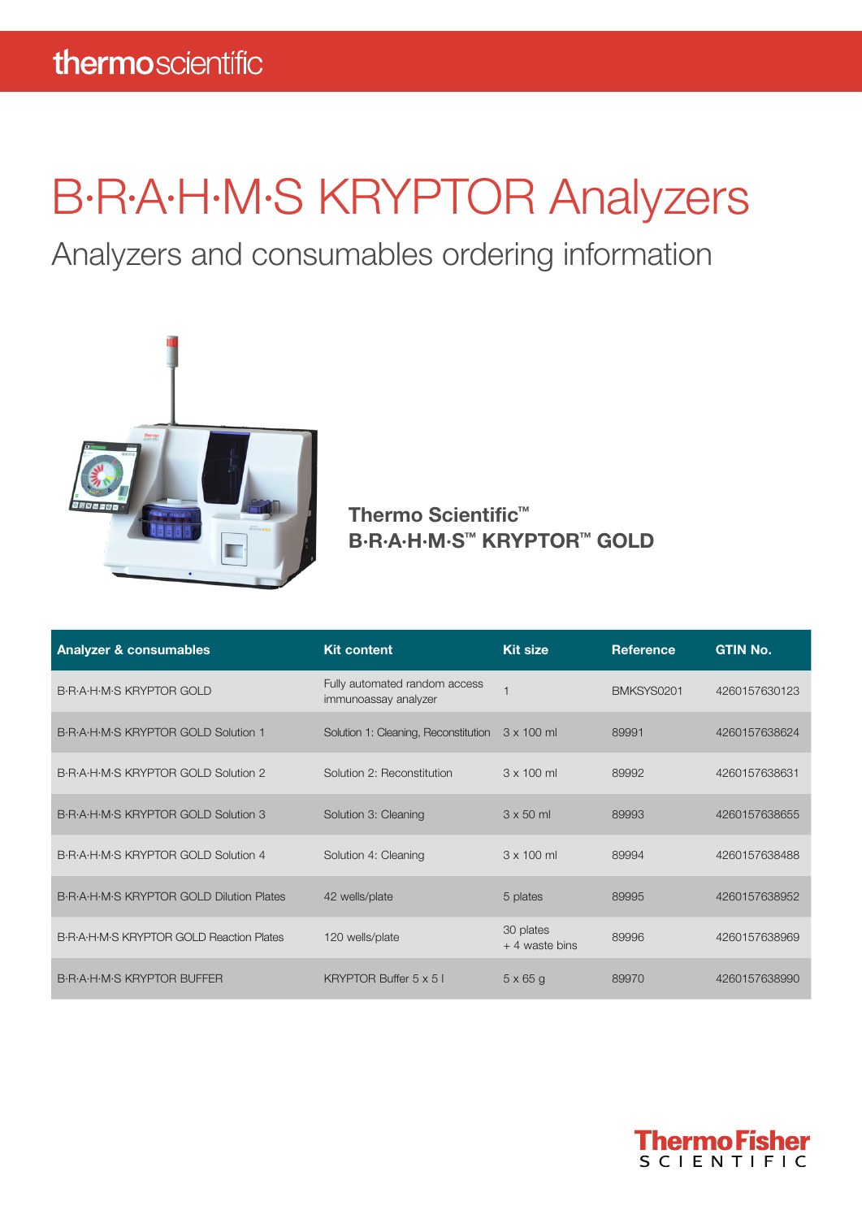# B·R·A·H·M·S KRYPTOR Analyzers

Analyzers and consumables ordering information



### Thermo Scientific™ B·R·A·H·M·S™ KRYPTOR™ GOLD

| <b>Analyzer &amp; consumables</b>        | <b>Kit content</b>                                    | <b>Kit size</b>             | <b>Reference</b> | <b>GTIN No.</b> |
|------------------------------------------|-------------------------------------------------------|-----------------------------|------------------|-----------------|
| <b>B-R-A-H-M-S KRYPTOR GOLD</b>          | Fully automated random access<br>immunoassay analyzer |                             | BMKSYS0201       | 4260157630123   |
| B-R-A-H-M-S KRYPTOR GOLD Solution 1      | Solution 1: Cleaning, Reconstitution                  | $3 \times 100$ ml           | 89991            | 4260157638624   |
| B-R-A-H-M-S KRYPTOR GOLD Solution 2      | Solution 2: Reconstitution                            | $3 \times 100$ ml           | 89992            | 4260157638631   |
| B.R.A.H.M.S KRYPTOR GOLD Solution 3      | Solution 3: Cleaning                                  | $3 \times 50$ ml            | 89993            | 4260157638655   |
| B-R-A-H-M-S KRYPTOR GOLD Solution 4      | Solution 4: Cleaning                                  | $3 \times 100$ ml           | 89994            | 4260157638488   |
| B.R.A.H.M.S KRYPTOR GOLD Dilution Plates | 42 wells/plate                                        | 5 plates                    | 89995            | 4260157638952   |
| B.R.A.H.M.S KRYPTOR GOLD Reaction Plates | 120 wells/plate                                       | 30 plates<br>+ 4 waste bins | 89996            | 4260157638969   |
| <b>B-R-A-H-M-S KRYPTOR BUFFER</b>        | KRYPTOR Buffer $5 \times 5$ I                         | $5 \times 65$ g             | 89970            | 4260157638990   |